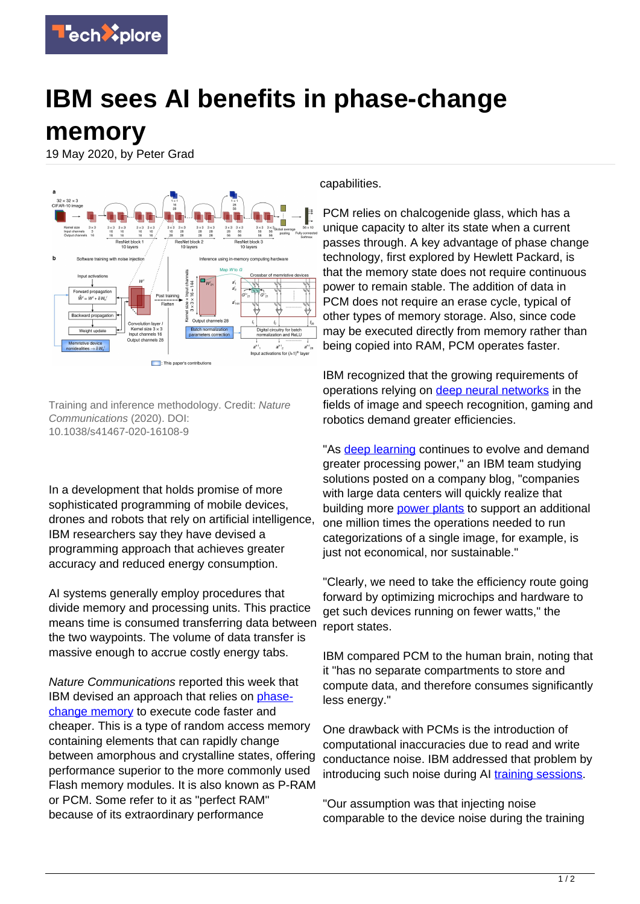

## **IBM sees AI benefits in phase-change**

**memory**

19 May 2020, by Peter Grad



Training and inference methodology. Credit: Nature Communications (2020). DOI: 10.1038/s41467-020-16108-9

In a development that holds promise of more sophisticated programming of mobile devices, drones and robots that rely on artificial intelligence, IBM researchers say they have devised a programming approach that achieves greater accuracy and reduced energy consumption.

AI systems generally employ procedures that divide memory and processing units. This practice means time is consumed transferring data between the two waypoints. The volume of data transfer is massive enough to accrue costly energy tabs.

Nature Communications reported this week that IBM devised an approach that relies on [phase](https://techxplore.com/tags/phase-change+memory/)[change memory](https://techxplore.com/tags/phase-change+memory/) to execute code faster and cheaper. This is a type of random access memory containing elements that can rapidly change between amorphous and crystalline states, offering performance superior to the more commonly used Flash memory modules. It is also known as P-RAM or PCM. Some refer to it as "perfect RAM" because of its extraordinary performance

capabilities.

PCM relies on chalcogenide glass, which has a unique capacity to alter its state when a current passes through. A key advantage of phase change technology, first explored by Hewlett Packard, is that the memory state does not require continuous power to remain stable. The addition of data in PCM does not require an erase cycle, typical of other types of memory storage. Also, since code may be executed directly from memory rather than being copied into RAM, PCM operates faster.

IBM recognized that the growing requirements of operations relying on [deep neural networks](https://techxplore.com/tags/deep+neural+networks/) in the fields of image and speech recognition, gaming and robotics demand greater efficiencies.

"As [deep learning](https://techxplore.com/tags/deep+learning/) continues to evolve and demand greater processing power," an IBM team studying solutions posted on a company blog, "companies with large data centers will quickly realize that building more [power plants](https://techxplore.com/tags/power+plants/) to support an additional one million times the operations needed to run categorizations of a single image, for example, is just not economical, nor sustainable."

"Clearly, we need to take the efficiency route going forward by optimizing microchips and hardware to get such devices running on fewer watts," the report states.

IBM compared PCM to the human brain, noting that it "has no separate compartments to store and compute data, and therefore consumes significantly less energy."

One drawback with PCMs is the introduction of computational inaccuracies due to read and write conductance noise. IBM addressed that problem by introducing such noise during AI [training sessions.](https://techxplore.com/tags/training+sessions/)

"Our assumption was that injecting noise comparable to the device noise during the training